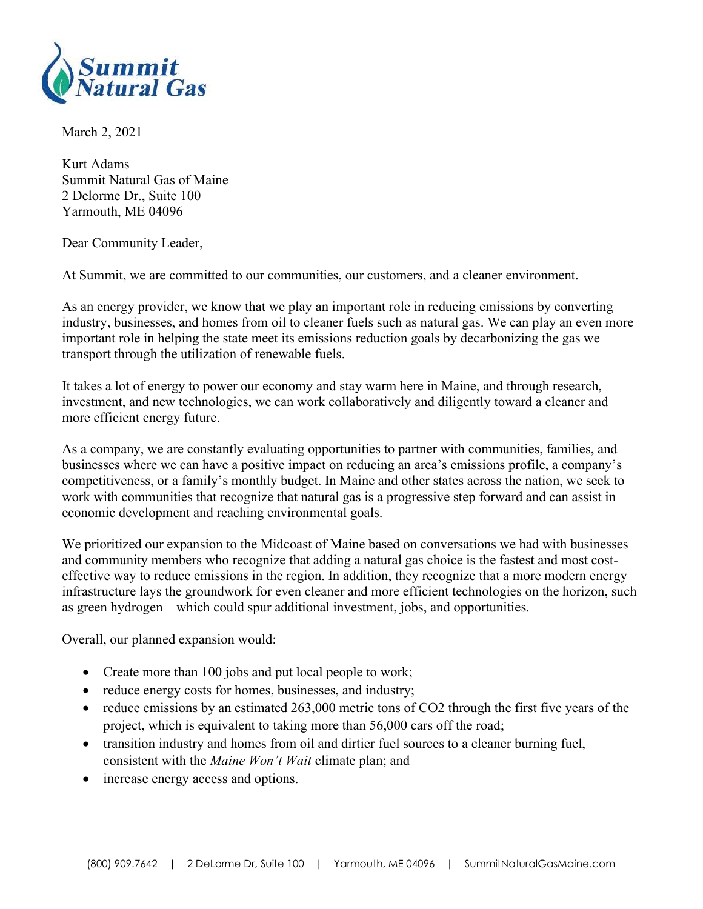

March 2, 2021

Kurt Adams Summit Natural Gas of Maine 2 Delorme Dr., Suite 100 Yarmouth, ME 04096

Dear Community Leader,

At Summit, we are committed to our communities, our customers, and a cleaner environment.

As an energy provider, we know that we play an important role in reducing emissions by converting industry, businesses, and homes from oil to cleaner fuels such as natural gas. We can play an even more important role in helping the state meet its emissions reduction goals by decarbonizing the gas we transport through the utilization of renewable fuels.

It takes a lot of energy to power our economy and stay warm here in Maine, and through research, investment, and new technologies, we can work collaboratively and diligently toward a cleaner and more efficient energy future.

As a company, we are constantly evaluating opportunities to partner with communities, families, and businesses where we can have a positive impact on reducing an area's emissions profile, a company's competitiveness, or a family's monthly budget. In Maine and other states across the nation, we seek to work with communities that recognize that natural gas is a progressive step forward and can assist in economic development and reaching environmental goals.

We prioritized our expansion to the Midcoast of Maine based on conversations we had with businesses and community members who recognize that adding a natural gas choice is the fastest and most costeffective way to reduce emissions in the region. In addition, they recognize that a more modern energy infrastructure lays the groundwork for even cleaner and more efficient technologies on the horizon, such as green hydrogen – which could spur additional investment, jobs, and opportunities.

Overall, our planned expansion would:

- Create more than 100 jobs and put local people to work;
- reduce energy costs for homes, businesses, and industry;
- reduce emissions by an estimated 263,000 metric tons of CO2 through the first five years of the project, which is equivalent to taking more than 56,000 cars off the road;
- transition industry and homes from oil and dirtier fuel sources to a cleaner burning fuel, consistent with the Maine Won't Wait climate plan; and
- increase energy access and options.